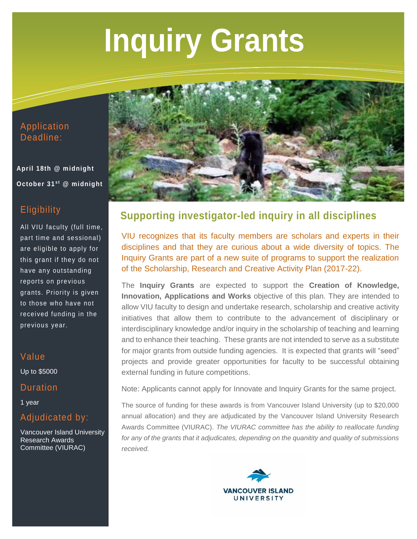# **Inquiry Grants**

#### Application Deadline:

**April 18th @ midnight October 31st @ midnight** 

## **Eligibility**

All VIU faculty (full time, part time and sessional) are eligible to apply for this grant if they do not have any outstanding reports on previous grants. Priority is given to those who have not received funding in the previous year.

#### Value

Up to \$5000

#### **Duration**

1 year

## Adjudicated by:

Vancouver Island University Research Awards Committee (VIURAC)



# **Supporting investigator-led inquiry in all disciplines**

VIU recognizes that its faculty members are scholars and experts in their disciplines and that they are curious about a wide diversity of topics. The Inquiry Grants are part of a new suite of programs to support the realization of the Scholarship, Research and Creative Activity Plan (2017-22).

The **Inquiry Grants** are expected to support the **Creation of Knowledge, Innovation, Applications and Works** objective of this plan. They are intended to allow VIU faculty to design and undertake research, scholarship and creative activity initiatives that allow them to contribute to the advancement of disciplinary or interdisciplinary knowledge and/or inquiry in the scholarship of teaching and learning and to enhance their teaching. These grants are not intended to serve as a substitute for major grants from outside funding agencies. It is expected that grants will "seed" projects and provide greater opportunities for faculty to be successful obtaining external funding in future competitions.

Note: Applicants cannot apply for Innovate and Inquiry Grants for the same project.

The source of funding for these awards is from Vancouver Island University (up to \$20,000 annual allocation) and they are adjudicated by the Vancouver Island University Research Awards Committee (VIURAC). *The VIURAC committee has the ability to reallocate funding for any of the grants that it adjudicates, depending on the quanitity and quality of submissions received.*